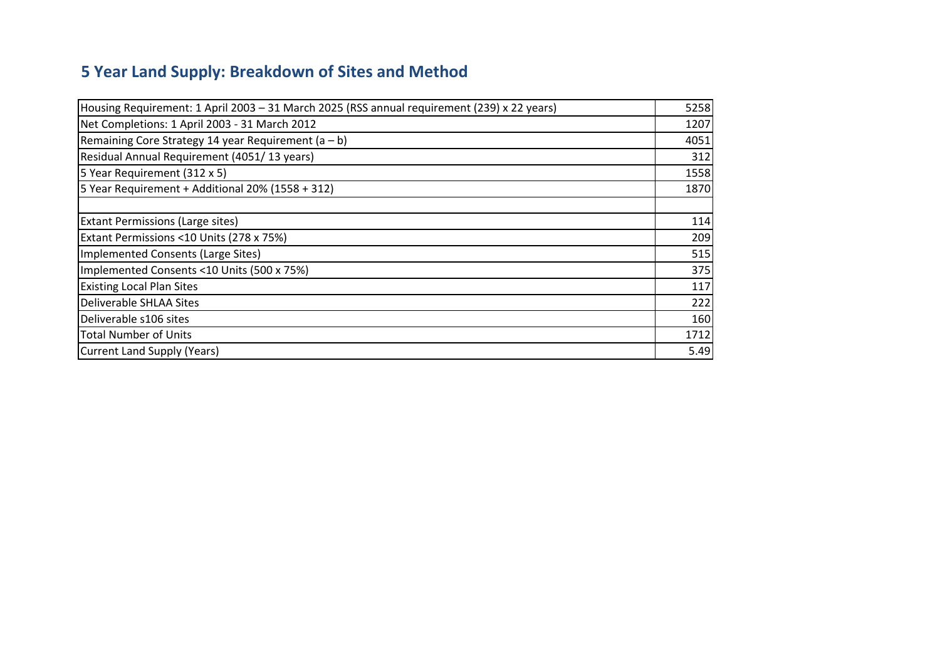## **5 Year Land Supply: Breakdown of Sites and Method**

| Housing Requirement: 1 April 2003 - 31 March 2025 (RSS annual requirement (239) x 22 years) | 5258 |
|---------------------------------------------------------------------------------------------|------|
| Net Completions: 1 April 2003 - 31 March 2012                                               | 1207 |
| Remaining Core Strategy 14 year Requirement ( $a - b$ )                                     | 4051 |
| Residual Annual Requirement (4051/13 years)                                                 | 312  |
| 5 Year Requirement (312 x 5)                                                                | 1558 |
| 5 Year Requirement + Additional 20% (1558 + 312)                                            | 1870 |
|                                                                                             |      |
| Extant Permissions (Large sites)                                                            | 114  |
| Extant Permissions <10 Units (278 x 75%)                                                    | 209  |
| Implemented Consents (Large Sites)                                                          | 515  |
| Implemented Consents <10 Units (500 x 75%)                                                  | 375  |
| <b>Existing Local Plan Sites</b>                                                            | 117  |
| <b>Deliverable SHLAA Sites</b>                                                              | 222  |
| Deliverable s106 sites                                                                      | 160  |
| <b>Total Number of Units</b>                                                                | 1712 |
| <b>Current Land Supply (Years)</b>                                                          | 5.49 |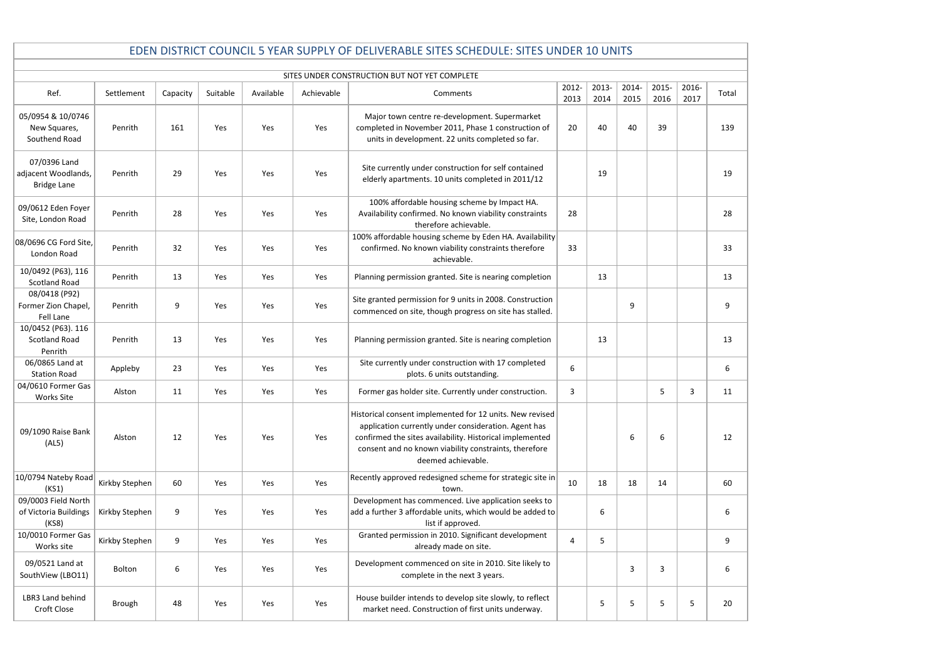|                                                           |                                               |          |          |           |            | EDEN DISTRICT COUNCIL 5 YEAR SUPPLY OF DELIVERABLE SITES SCHEDULE: SITES UNDER 10 UNITS                                                                                                                                                                     |                |               |               |               |               |                  |  |  |
|-----------------------------------------------------------|-----------------------------------------------|----------|----------|-----------|------------|-------------------------------------------------------------------------------------------------------------------------------------------------------------------------------------------------------------------------------------------------------------|----------------|---------------|---------------|---------------|---------------|------------------|--|--|
|                                                           | SITES UNDER CONSTRUCTION BUT NOT YET COMPLETE |          |          |           |            |                                                                                                                                                                                                                                                             |                |               |               |               |               |                  |  |  |
| Ref.                                                      | Settlement                                    | Capacity | Suitable | Available | Achievable | Comments                                                                                                                                                                                                                                                    | 2012-<br>2013  | 2013-<br>2014 | 2014-<br>2015 | 2015-<br>2016 | 2016-<br>2017 | Total            |  |  |
| 05/0954 & 10/0746<br>New Squares,<br>Southend Road        | Penrith                                       | 161      | Yes      | Yes       | Yes        | Major town centre re-development. Supermarket<br>completed in November 2011, Phase 1 construction of<br>units in development. 22 units completed so far.                                                                                                    | 20             | 40            | 40            | 39            |               | 139              |  |  |
| 07/0396 Land<br>adjacent Woodlands,<br><b>Bridge Lane</b> | Penrith                                       | 29       | Yes      | Yes       | Yes        | Site currently under construction for self contained<br>elderly apartments. 10 units completed in 2011/12                                                                                                                                                   |                | 19            |               |               |               | 19               |  |  |
| 09/0612 Eden Foyer<br>Site, London Road                   | Penrith                                       | 28       | Yes      | Yes       | Yes        | 100% affordable housing scheme by Impact HA.<br>Availability confirmed. No known viability constraints<br>therefore achievable.                                                                                                                             | 28             |               |               |               |               | 28               |  |  |
| 08/0696 CG Ford Site,<br>London Road                      | Penrith                                       | 32       | Yes      | Yes       | Yes        | 100% affordable housing scheme by Eden HA. Availability<br>confirmed. No known viability constraints therefore<br>achievable.                                                                                                                               | 33             |               |               |               |               | 33               |  |  |
| 10/0492 (P63), 116<br><b>Scotland Road</b>                | Penrith                                       | 13       | Yes      | Yes       | Yes        | Planning permission granted. Site is nearing completion                                                                                                                                                                                                     |                | 13            |               |               |               | 13               |  |  |
| 08/0418 (P92)<br>Former Zion Chapel,<br><b>Fell Lane</b>  | Penrith                                       | 9        | Yes      | Yes       | Yes        | Site granted permission for 9 units in 2008. Construction<br>commenced on site, though progress on site has stalled.                                                                                                                                        |                |               | 9             |               |               | 9                |  |  |
| 10/0452 (P63). 116<br><b>Scotland Road</b><br>Penrith     | Penrith                                       | 13       | Yes      | Yes       | Yes        | Planning permission granted. Site is nearing completion                                                                                                                                                                                                     |                | 13            |               |               |               | 13               |  |  |
| 06/0865 Land at<br><b>Station Road</b>                    | Appleby                                       | 23       | Yes      | Yes       | Yes        | Site currently under construction with 17 completed<br>plots. 6 units outstanding.                                                                                                                                                                          | 6              |               |               |               |               | 6                |  |  |
| 04/0610 Former Gas<br><b>Works Site</b>                   | Alston                                        | 11       | Yes      | Yes       | Yes        | Former gas holder site. Currently under construction.                                                                                                                                                                                                       | 3              |               |               | 5             | 3             | 11               |  |  |
| 09/1090 Raise Bank<br>(AL5)                               | Alston                                        | 12       | Yes      | Yes       | Yes        | Historical consent implemented for 12 units. New revised<br>application currently under consideration. Agent has<br>confirmed the sites availability. Historical implemented<br>consent and no known viability constraints, therefore<br>deemed achievable. |                |               | 6             | 6             |               | 12               |  |  |
| 10/0794 Nateby Road<br>(KS1)                              | Kirkby Stephen                                | 60       | Yes      | Yes       | Yes        | Recently approved redesigned scheme for strategic site in<br>town.                                                                                                                                                                                          | 10             | 18            | 18            | 14            |               | 60               |  |  |
| 09/0003 Field North<br>of Victoria Buildings<br>(KS8)     | Kirkby Stephen                                | 9        | Yes      | Yes       | Yes        | Development has commenced. Live application seeks to<br>add a further 3 affordable units, which would be added to<br>list if approved.                                                                                                                      |                | 6             |               |               |               | 6                |  |  |
| 10/0010 Former Gas<br>Works site                          | Kirkby Stephen                                | 9        | Yes      | Yes       | Yes        | Granted permission in 2010. Significant development<br>already made on site.                                                                                                                                                                                | $\overline{4}$ | 5             |               |               |               | $\boldsymbol{9}$ |  |  |
| 09/0521 Land at<br>SouthView (LBO11)                      | Bolton                                        | 6        | Yes      | Yes       | Yes        | Development commenced on site in 2010. Site likely to<br>complete in the next 3 years.                                                                                                                                                                      |                |               | 3             | 3             |               | $\boldsymbol{6}$ |  |  |
| LBR3 Land behind<br>Croft Close                           | Brough                                        | 48       | Yes      | Yes       | Yes        | House builder intends to develop site slowly, to reflect<br>market need. Construction of first units underway.                                                                                                                                              |                | 5             | 5             | 5             | 5             | 20               |  |  |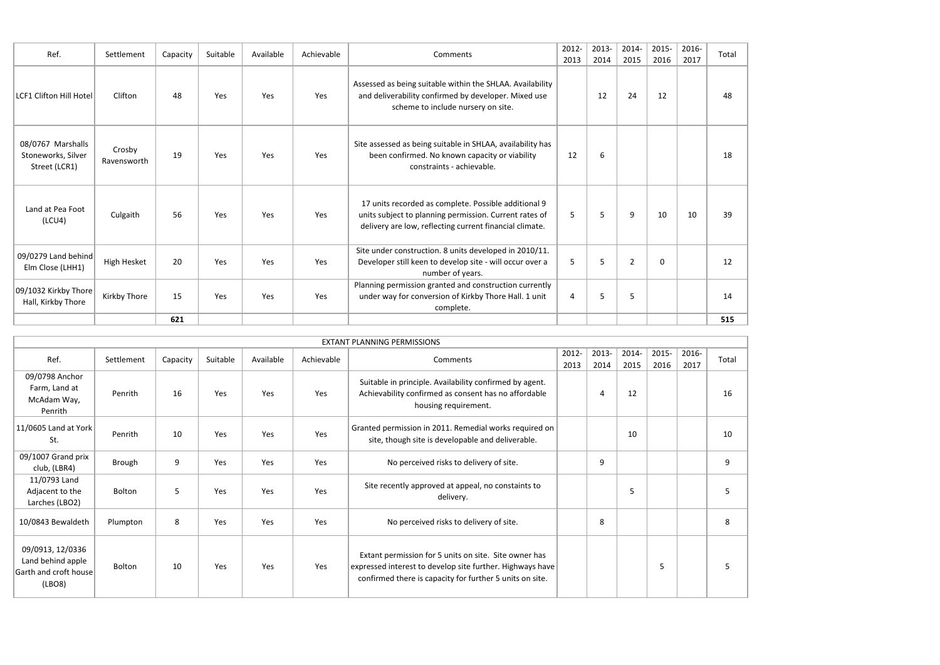| Ref.                                                     | Settlement            | Capacity | Suitable | Available | Achievable | Comments                                                                                                                                                                  | 2012-<br>2013 | 2013-<br>2014 | 2014-<br>2015  | 2015-<br>2016 | 2016-<br>2017 | Tota |
|----------------------------------------------------------|-----------------------|----------|----------|-----------|------------|---------------------------------------------------------------------------------------------------------------------------------------------------------------------------|---------------|---------------|----------------|---------------|---------------|------|
| LCF1 Clifton Hill Hotel                                  | Clifton               | 48       | Yes      | Yes       | Yes        | Assessed as being suitable within the SHLAA. Availability<br>and deliverability confirmed by developer. Mixed use<br>scheme to include nursery on site.                   |               | 12            | 24             | 12            |               | 48   |
| 08/0767 Marshalls<br>Stoneworks, Silver<br>Street (LCR1) | Crosby<br>Ravensworth | 19       | Yes      | Yes       | Yes        | Site assessed as being suitable in SHLAA, availability has<br>been confirmed. No known capacity or viability<br>constraints - achievable.                                 | 12            | 6             |                |               |               | 18   |
| Land at Pea Foot<br>(LCU4)                               | Culgaith              | 56       | Yes      | Yes       | Yes        | 17 units recorded as complete. Possible additional 9<br>units subject to planning permission. Current rates of<br>delivery are low, reflecting current financial climate. | 5             | 5             | 9              | 10            | 10            | 39   |
| 09/0279 Land behind<br>Elm Close (LHH1)                  | High Hesket           | 20       | Yes      | Yes       | Yes        | Site under construction. 8 units developed in 2010/11.<br>Developer still keen to develop site - will occur over a<br>number of years.                                    | 5             | 5             | $\overline{2}$ | $\Omega$      |               | 12   |
| 09/1032 Kirkby Thore<br>Hall, Kirkby Thore               | Kirkby Thore          | 15       | Yes      | Yes       | Yes        | Planning permission granted and construction currently<br>under way for conversion of Kirkby Thore Hall. 1 unit<br>complete.                                              | 4             | 5             | 5              |               |               | 14   |
|                                                          |                       | 621      |          |           |            |                                                                                                                                                                           |               |               |                |               |               | 515  |

| Total |
|-------|
| 48    |
| 18    |
| 39    |
| 12    |
| 14    |
| 515   |
|       |
|       |
| Total |
| 16    |
| 10    |
| 9     |
| 5     |
| 8     |
| C     |

|                                                                          |            |          |          |           |            | <b>EXTANT PLANNING PERMISSIONS</b>                                                                                                                                             |               |                        |               |               |               |     |
|--------------------------------------------------------------------------|------------|----------|----------|-----------|------------|--------------------------------------------------------------------------------------------------------------------------------------------------------------------------------|---------------|------------------------|---------------|---------------|---------------|-----|
| Ref.                                                                     | Settlement | Capacity | Suitable | Available | Achievable | Comments                                                                                                                                                                       | 2012-<br>2013 | 2013-<br>2014          | 2014-<br>2015 | 2015-<br>2016 | 2016-<br>2017 | Tot |
| 09/0798 Anchor<br>Farm, Land at<br>McAdam Way,<br>Penrith                | Penrith    | 16       | Yes      | Yes       | Yes        | Suitable in principle. Availability confirmed by agent.<br>Achievability confirmed as consent has no affordable<br>housing requirement.                                        |               | $\boldsymbol{\Lambda}$ | 12            |               |               | 16  |
| 11/0605 Land at York<br>St.                                              | Penrith    | 10       | Yes      | Yes       | Yes        | Granted permission in 2011. Remedial works required on<br>site, though site is developable and deliverable.                                                                    |               |                        | 10            |               |               | 10  |
| 09/1007 Grand prix<br>club, (LBR4)                                       | Brough     | 9        | Yes      | Yes       | Yes        | No perceived risks to delivery of site.                                                                                                                                        |               | 9                      |               |               |               | 9   |
| 11/0793 Land<br>Adjacent to the<br>Larches (LBO2)                        | Bolton     | 5        | Yes      | Yes       | Yes        | Site recently approved at appeal, no constaints to<br>delivery.                                                                                                                |               |                        | 5             |               |               | 5   |
| 10/0843 Bewaldeth                                                        | Plumpton   | 8        | Yes      | Yes       | Yes        | No perceived risks to delivery of site.                                                                                                                                        |               | 8                      |               |               |               | 8   |
| 09/0913, 12/0336<br>Land behind apple<br>Garth and croft house<br>(LBO8) | Bolton     | 10       | Yes      | Yes       | Yes        | Extant permission for 5 units on site. Site owner has<br>expressed interest to develop site further. Highways have<br>confirmed there is capacity for further 5 units on site. |               |                        |               | 5             |               | 5   |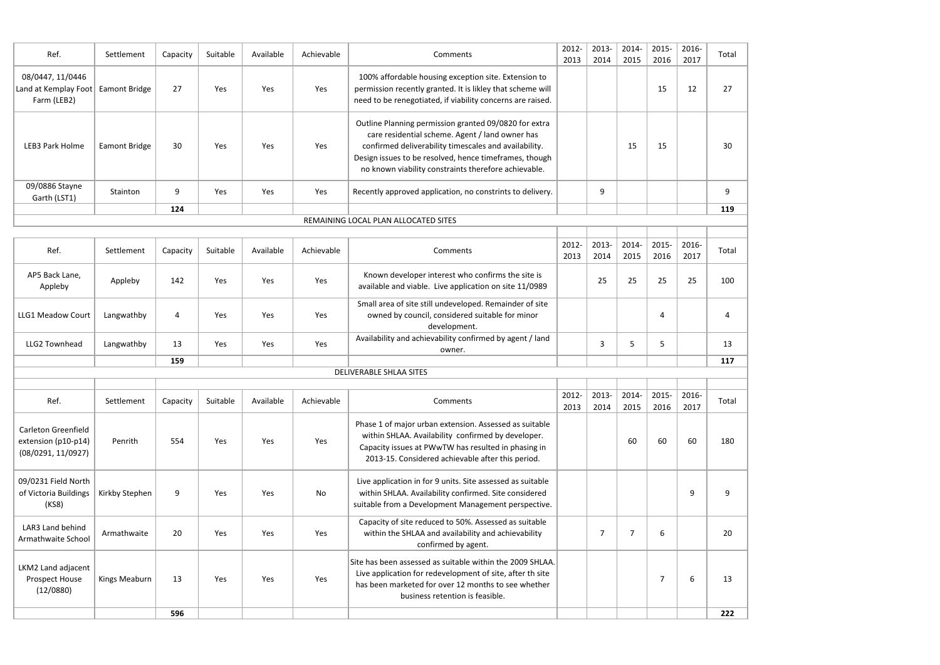| Ref.                                                    | Settlement           | Capacity | Suitable | Available  | Achievable | Comments                                                                                                                                                                                                                                                                            | 2012-<br>2013 | 2013-<br>2014 | 2014-<br>2015 | 2015-<br>2016 | 2016-<br>2017 | Tota |
|---------------------------------------------------------|----------------------|----------|----------|------------|------------|-------------------------------------------------------------------------------------------------------------------------------------------------------------------------------------------------------------------------------------------------------------------------------------|---------------|---------------|---------------|---------------|---------------|------|
| 08/0447, 11/0446<br>Land at Kemplay Foot<br>Farm (LEB2) | <b>Eamont Bridge</b> | 27       | Yes      | Yes        | Yes        | 100% affordable housing exception site. Extension to<br>permission recently granted. It is likley that scheme will<br>need to be renegotiated, if viability concerns are raised.                                                                                                    |               |               |               | 15            | 12            | 27   |
| LEB3 Park Holme                                         | <b>Eamont Bridge</b> | 30       | Yes      | <b>Yes</b> | Yes        | Outline Planning permission granted 09/0820 for extra<br>care residential scheme. Agent / land owner has<br>confirmed deliverability timescales and availability.<br>Design issues to be resolved, hence timeframes, though<br>no known viability constraints therefore achievable. |               |               | 15            | 15            |               | 30   |
| 09/0886 Stayne<br>Garth (LST1)                          | Stainton             | 9        | Yes      | Yes        | Yes        | Recently approved application, no constrints to delivery.                                                                                                                                                                                                                           |               | 9             |               |               |               | 9    |
|                                                         |                      | 124      |          |            |            |                                                                                                                                                                                                                                                                                     |               |               |               |               |               | 119  |

| Total           |
|-----------------|
| $\overline{27}$ |
| 30              |
| 9               |
| 119             |
|                 |
| Total           |
| 100             |
| 4               |
| 13              |
| 117             |
|                 |
| Total           |
| 180             |
| 9               |
| 20              |
| 13              |
| 222             |

| Ref.                      | Settlement | Capacity | Suitable | Available | Achievable | Comments                                                                                                                   | 2012-<br>2013 | 2013-<br>2014     | 2014-<br>2015 | 2015-<br>2016 | 2016-<br>2017 | Tota |
|---------------------------|------------|----------|----------|-----------|------------|----------------------------------------------------------------------------------------------------------------------------|---------------|-------------------|---------------|---------------|---------------|------|
| AP5 Back Lane,<br>Appleby | Appleby    | 142      | Yes      | Yes       | Yes        | Known developer interest who confirms the site is<br>available and viable. Live application on site 11/0989                |               | 25                | 25            | 25            | 25            | 100  |
| LLG1 Meadow Court         | Langwathby | 4        | Yes      | Yes       | Yes        | Small area of site still undeveloped. Remainder of site<br>owned by council, considered suitable for minor<br>development. |               |                   |               | 4             |               | 4    |
| LLG2 Townhead             | Langwathby | 13       | Yes      | Yes       | Yes        | Availability and achievability confirmed by agent / land<br>owner.                                                         |               | $\mathbf{\Omega}$ |               |               |               | 13   |
|                           |            | 159      |          |           |            |                                                                                                                            |               |                   |               |               |               | 117  |
| DELIVERABLE SHLAA SITES   |            |          |          |           |            |                                                                                                                            |               |                   |               |               |               |      |
|                           |            |          |          |           |            |                                                                                                                            |               |                   |               |               |               |      |
|                           |            |          |          |           |            |                                                                                                                            |               |                   |               |               |               |      |

| Ref.                                                             | Settlement           | Capacity | Suitable | Available | Achievable | Comments                                                                                                                                                                                                                 | 2012-<br>2013 | 2013-<br>2014 | 2014-<br>2015 | 2015-<br>2016 | 2016-<br>2017 | Tota |
|------------------------------------------------------------------|----------------------|----------|----------|-----------|------------|--------------------------------------------------------------------------------------------------------------------------------------------------------------------------------------------------------------------------|---------------|---------------|---------------|---------------|---------------|------|
| Carleton Greenfield<br>extension (p10-p14)<br>(08/0291, 11/0927) | <b>Penrith</b>       | 554      | Yes      | Yes.      | Yes        | Phase 1 of major urban extension. Assessed as suitable<br>within SHLAA. Availability confirmed by developer.<br>Capacity issues at PWwTW has resulted in phasing in<br>2013-15. Considered achievable after this period. |               |               | 60            | 60            | 60            | 180  |
| 09/0231 Field North<br>of Victoria Buildings<br>(KS8)            | Kirkby Stephen       | 9        | Yes      | Yes.      | No         | Live application in for 9 units. Site assessed as suitable<br>within SHLAA. Availability confirmed. Site considered<br>suitable from a Development Management perspective.                                               |               |               |               |               | 9             |      |
| LAR3 Land behind<br>Armathwaite School                           | Armathwaite          | 20       | Yes      | Yes       | Yes        | Capacity of site reduced to 50%. Assessed as suitable<br>within the SHLAA and availability and achievability<br>confirmed by agent.                                                                                      |               |               | 7             | 6             |               | 20   |
| LKM2 Land adjacent<br>Prospect House<br>(12/0880)                | <b>Kings Meaburn</b> | 13       | Yes      | Yes.      | Yes        | Site has been assessed as suitable within the 2009 SHLAA.<br>Live application for redevelopment of site, after th site<br>has been marketed for over 12 months to see whether<br>business retention is feasible.         |               |               |               |               | 6             | 13   |
|                                                                  |                      | 596      |          |           |            |                                                                                                                                                                                                                          |               |               |               |               |               | 222  |

## REMAINING LOCAL PLAN ALLOCATED SITES